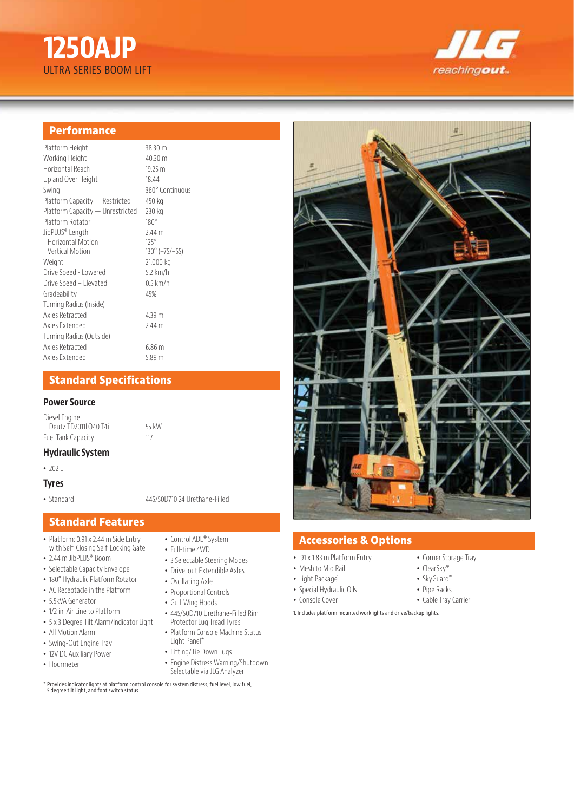# **1250AJP**  ULTRA SERIES BOOM LIFT



#### **Performance**

| Platform Height                  | 38.30 n           |
|----------------------------------|-------------------|
| Working Height                   | 40.30 n           |
| Horizontal Reach                 | 19.25 m           |
| Up and Over Height               | 18.44             |
| Swing                            | $360^\circ$ Co    |
| Platform Capacity - Restricted   | 450 kg            |
| Platform Capacity — Unrestricted | 230 kg            |
| Platform Rotator                 | $180^\circ$       |
| JibPLUS® Length                  | 2.44 <sub>m</sub> |
| Horizontal Motion                | $125^\circ$       |
| <b>Vertical Motion</b>           | $130^{\circ}$ (+  |
| Weight                           | 21,000            |
| Drive Speed - Lowered            | 5.2 km/           |
| Drive Speed - Elevated           | $0.5 \text{ km}$  |
| Gradeability                     | 45%               |
| Turning Radius (Inside)          |                   |
| Axles Retracted                  | 4.39 m            |
| Axles Extended                   | 2.44 m            |
| Turning Radius (Outside)         |                   |
| Axles Retracted                  | 6.86 <sub>m</sub> |
| Axles Extended                   | 5.89 m            |

 $8.30 m$  $0.30 \text{ m}$  $9.25 \text{ m}$ Swing 360° Continuous  $50$  kg 30 kg  $.44 m$  $80^{\circ}$  (+75/–55)  $1,000$  kg  $2 km/h$ 5 km/h

## **Standard Specifications**

#### **Power Source**

Diesel Engine Deutz TD2011LO40 T4i 55 kW Fuel Tank Capacity

### **Hydraulic System**

• 202 L

#### **Tyres**

• Standard 445/50D710 24 Urethane-Filled

## **Standard Features**

- Platform: 0.91 x 2.44 m Side Entry with Self-Closing Self-Locking Gate
- 2.44 m JibPLUS® Boom
- Selectable Capacity Envelope
- 180° Hydraulic Platform Rotator
- AC Receptacle in the Platform
- 5.5kVA Generator
- 1/2 in. Air Line to Platform
- 5 x 3 Degree Tilt Alarm/Indicator Light
- All Motion Alarm
- Swing-Out Engine Tray
- 12V DC Auxiliary Power
- Hourmeter
- Control ADE® System
- Full-time 4WD
- 3 Selectable Steering Modes
- Drive-out Extendible Axles
- Oscillating Axle
- Proportional Controls
- Gull-Wing Hoods
- 445/50D710 Urethane-Filled Rim Protector Lug Tread Tyres
- Platform Console Machine Status Light Panel\*
- Lifting/Tie Down Lugs
- Engine Distress Warning/Shutdown— Selectable via JLG Analyzer
- \* Provides indicator lights at platform control console for system distress, fuel level, low fuel, 5 degree tilt light, and foot switch status.



## **Accessories & Options**

- .91 x 1.83 m Platform Entry
- Mesh to Mid Rail
- Light Package<sup>1</sup>
- Special Hydraulic Oils
- Console Cover
- Corner Storage Tray
- ClearSky®
- SkyGuard™
- Pipe Racks
- Cable Tray Carrier
- 1. Includes platform mounted worklights and drive/backup lights.
-